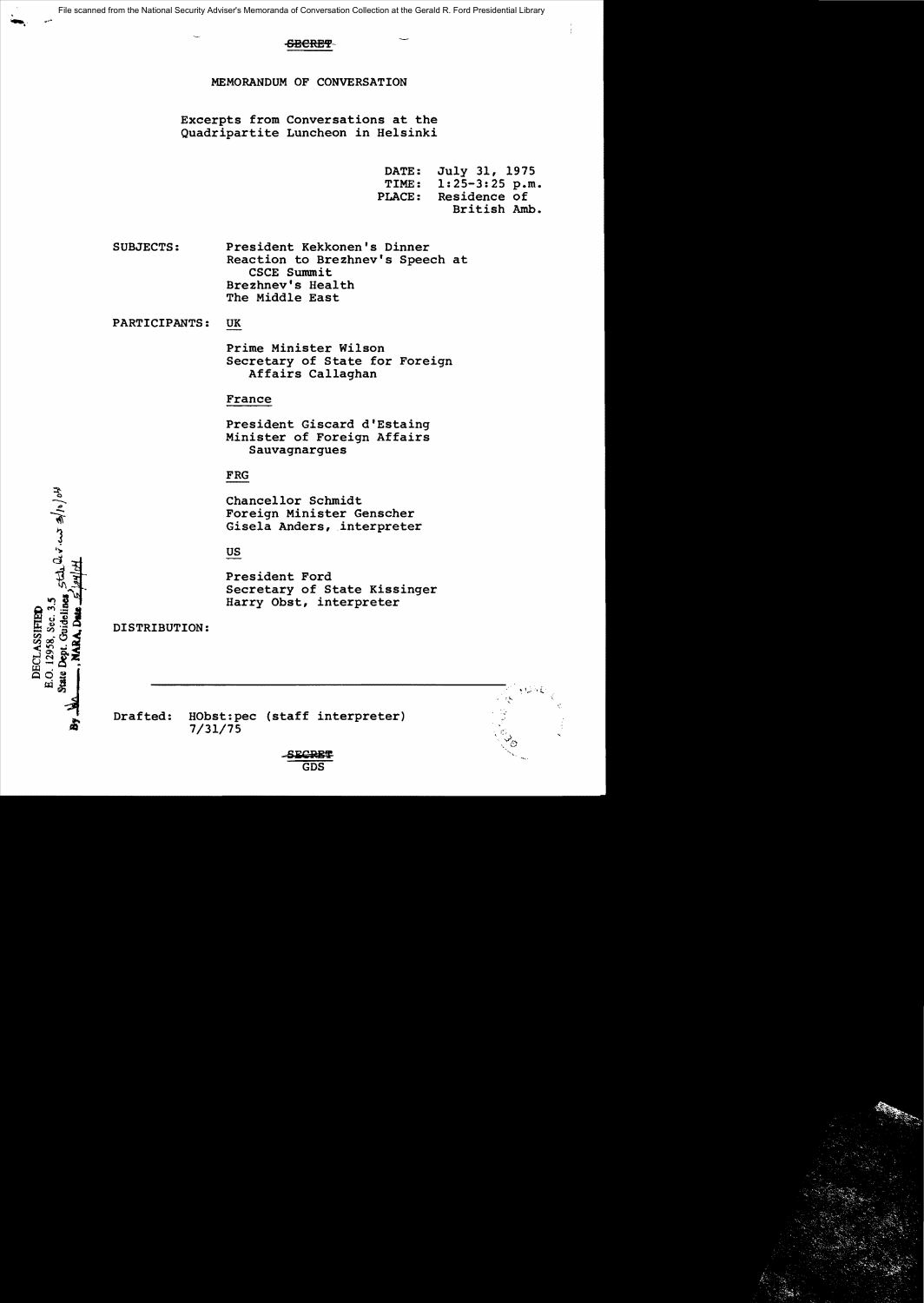## **SBERET**

MEMORANDUM OF CONVERSATION

Excerpts from Conversations at the Quadripartite Luncheon in Helsinki

> DATE: July 31, 1975<br>TIME: 1:25-3:25 p.m TIME: 1:25-3:25 p.m.<br>PLACE: Residence of Residence of British Amb.

> > ~1.1.<br>\* 1.1.

SUBJECTS: President Kekkonen's Dinner Reaction to Brezhnev's Speech at CSCE Summit Brezhnev's Health The Middle East

PARTICIPANTS: UK

Prime Minister Wilson Secretary of State for Foreign Affairs Callaghan

#### France

President Giscard d'Estaing Minister of Foreign Affairs Sauvagnargues

# FRG

Chancellor Schmidt Foreign Minister Genscher Gisela Anders, interpreter

# US

President Ford Secretary of State Kissinger Harry Obst, interpreter

DISTRIBUTION:

الموارار محمد تملك لمصلح E.O. 12958, Sec. 3.5 State Dept. Guideline DECLASSIFIED

| <b>SECRET</b> |  |
|---------------|--|

Drafted: HObst:pec (staff interpreter)

7/31/75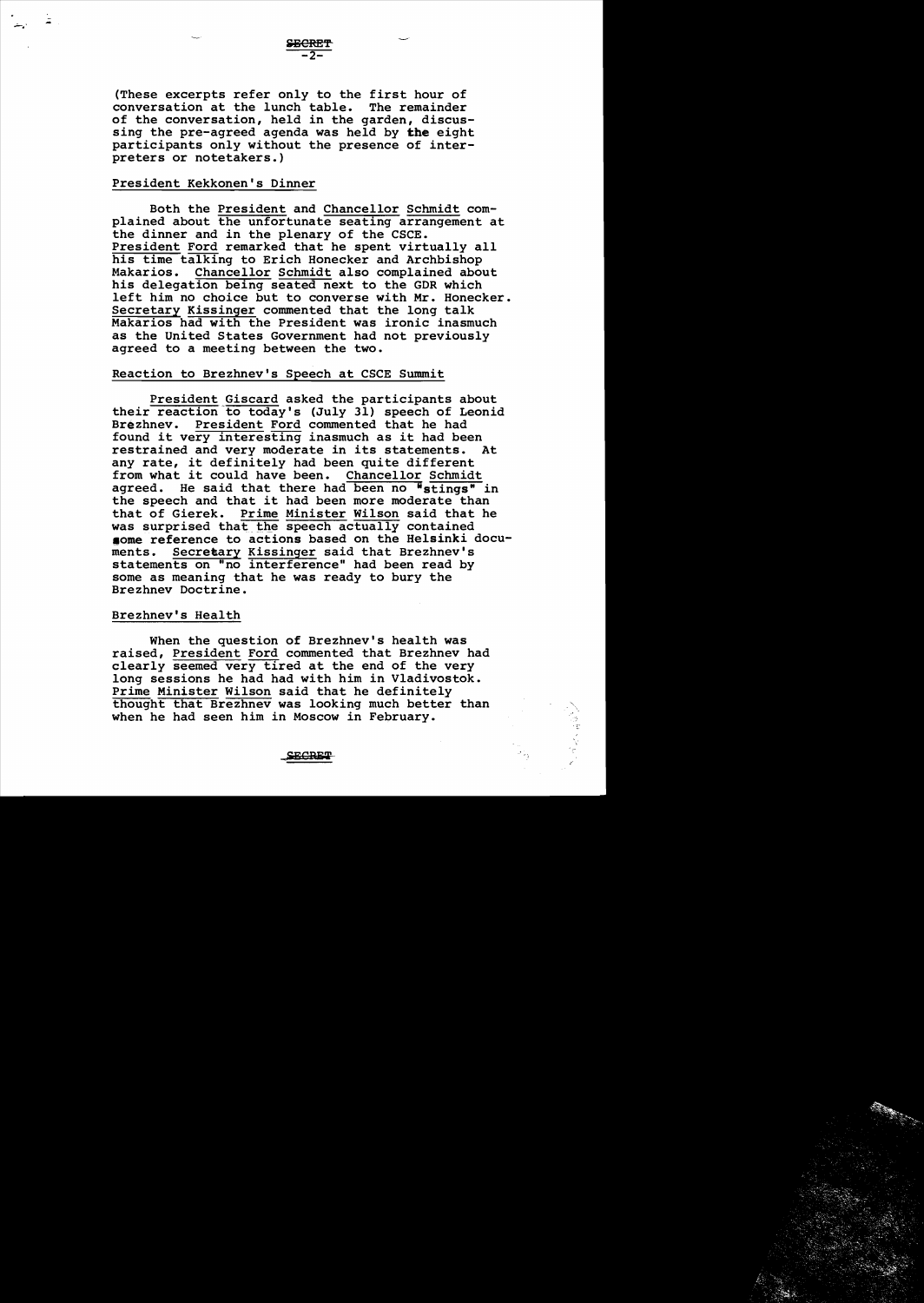(These excerpts refer only to the first hour of<br>conversation at the lunch table. The remainder conversation at the lunch table. of the conversation, held in the garden, discussing the pre-agreed agenda was held by the eight participants only without the presence of interpreters or notetakers.)

### President Kekkonen's Dinner

- -

> Both the President and Chancellor Schmidt complained about the unfortunate seating arrangement at the dinner and in the plenary of the CSCE. President Ford remarked that he spent virtually all his time talking to Erich Honecker and Archbishop<br>Makarios. Chancellor Schmidt also complained abo Chancellor Schmidt also complained about his delegation being seated next to the GDR which left him no choice but to converse with Mr. Honecker. Secretary Kissinger commented that the long talk Makarios had with the President was ironic inasmuch as the united States Government had not previously agreed to a meeting between the two.

#### Reaction to Brezhnev's Speech at CSCE Summit

President Giscard asked the participants about their reaction to today's (July 31) speech of Leonid Brezhnev. President Ford commented that he had found it very interesting inasmuch as it had been<br>restrained and very moderate in its statements. At restrained and very moderate in its statements. any rate, it definitely had been quite different from what it could have been. Chancellor Schmidt agreed. He said that there had been no "stings" in the speech and that it had been more moderate than that of Gierek. Prime Minister Wilson said that he was surprised that the speech actually contained some reference to actions based on the Helsinki docu-<br>ments. Secretary Kissinger said that Brezhnev's Secretary Kissinger said that Brezhnev's statements on "no interference" had been read by some as meaning that he was ready to bury the Brezhnev Doctrine.

#### Brezhnev's Health

When the question of Brezhnev's health was raised, President Ford commented that Brezhnev had clearly seemed very tired at the end of the very long sessions he had had with him in Vladivostok. Prime Minister Wilson said that he definitely thought that Brezhnev was looking much better than when he had seen him in Moscow in February.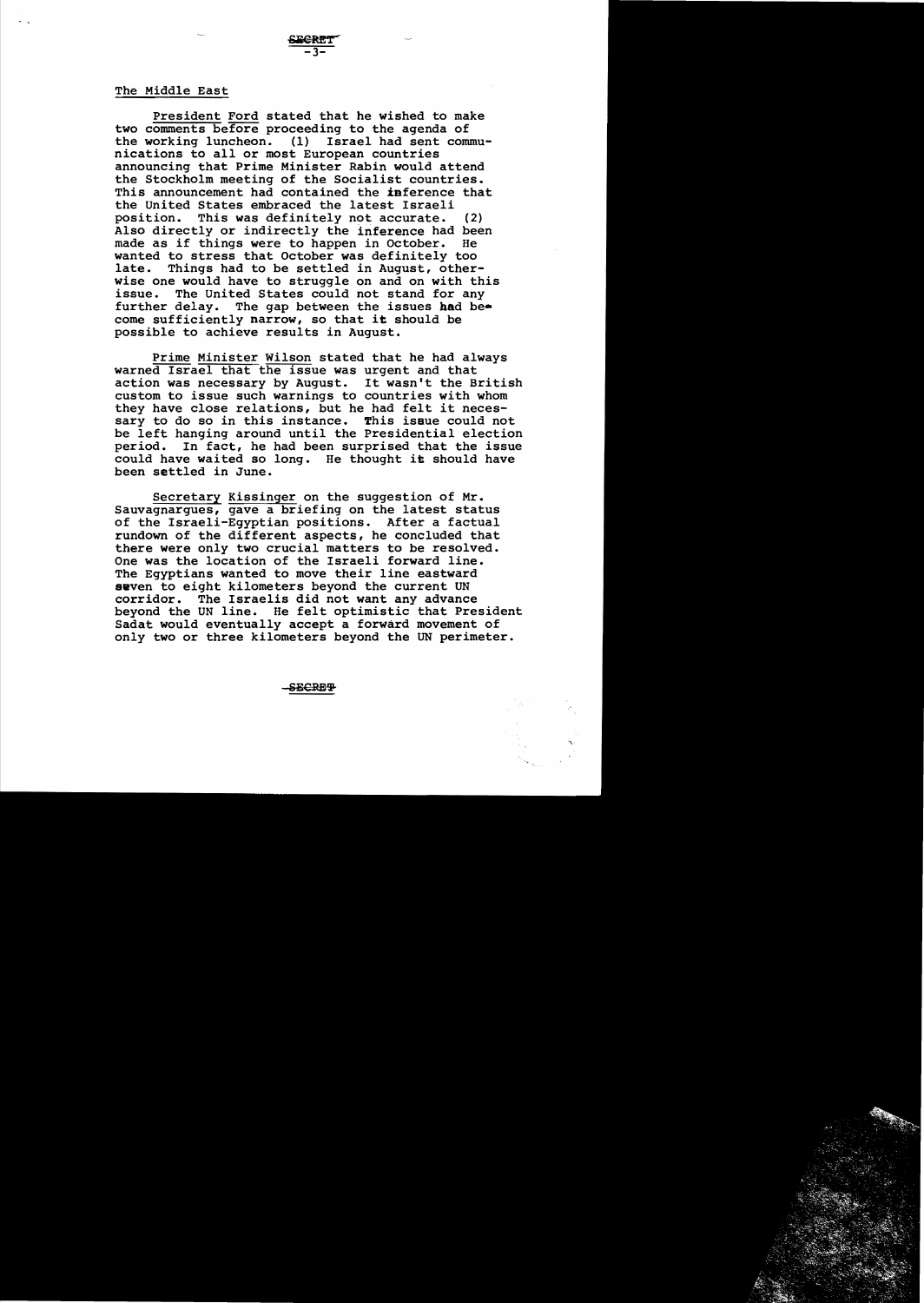### The Middle East

President Ford stated that he wished to make two comments before proceeding to the agenda of the working luncheon. (1) Israel had sent communications to all or most European countries announcing that Prime Minister Rabin would attend the Stockholm meeting of the Socialist countries. This announcement had contained the inference that the United States embraced the latest Israeli position. This was definitely not accurate. (2) Also directly or indirectly the inference had been<br>made as if things were to happen in October. He made as if things were to happen in October. wanted to stress that October was definitely too late. Things had to be settled in August, otherwise one would have to struggle on and on with this issue. The United States could not stand for any further delay. The gap between the issues had become sufficiently narrow, so that it should be possible to achieve results in August.

Prime Minister Wilson stated that he had always warned Israel that the issue was urgent and that action was necessary by August. It wasn't the British custom to issue such warnings to countries with whom they have close relations, but he had felt it necessary to do so in this instance. This issue could not be left hanging around until the Presidential election<br>period. In fact, he had been surprised that the issue In fact, he had been surprised that the issue could have waited so long. He thought it should have been settled in June.

Secretary Kissinger on the suggestion of Mr. Sauvagnargues, gave a briefing on the latest status of the Israeli-Egyptian positions. After a factual rundown of the different aspects, he concluded that there were only two crucial matters to be resolved. One was the location of the Israeli forward line. The Egyptians wanted to move their line eastward seven to eight kilometers beyond the current UN corridor. The Israelis did not want any advance beyond the UN line. He felt optimistic that President Sadat would eventually accept a forward movement of only two or three kilometers beyond the UN perimeter.

-SECRET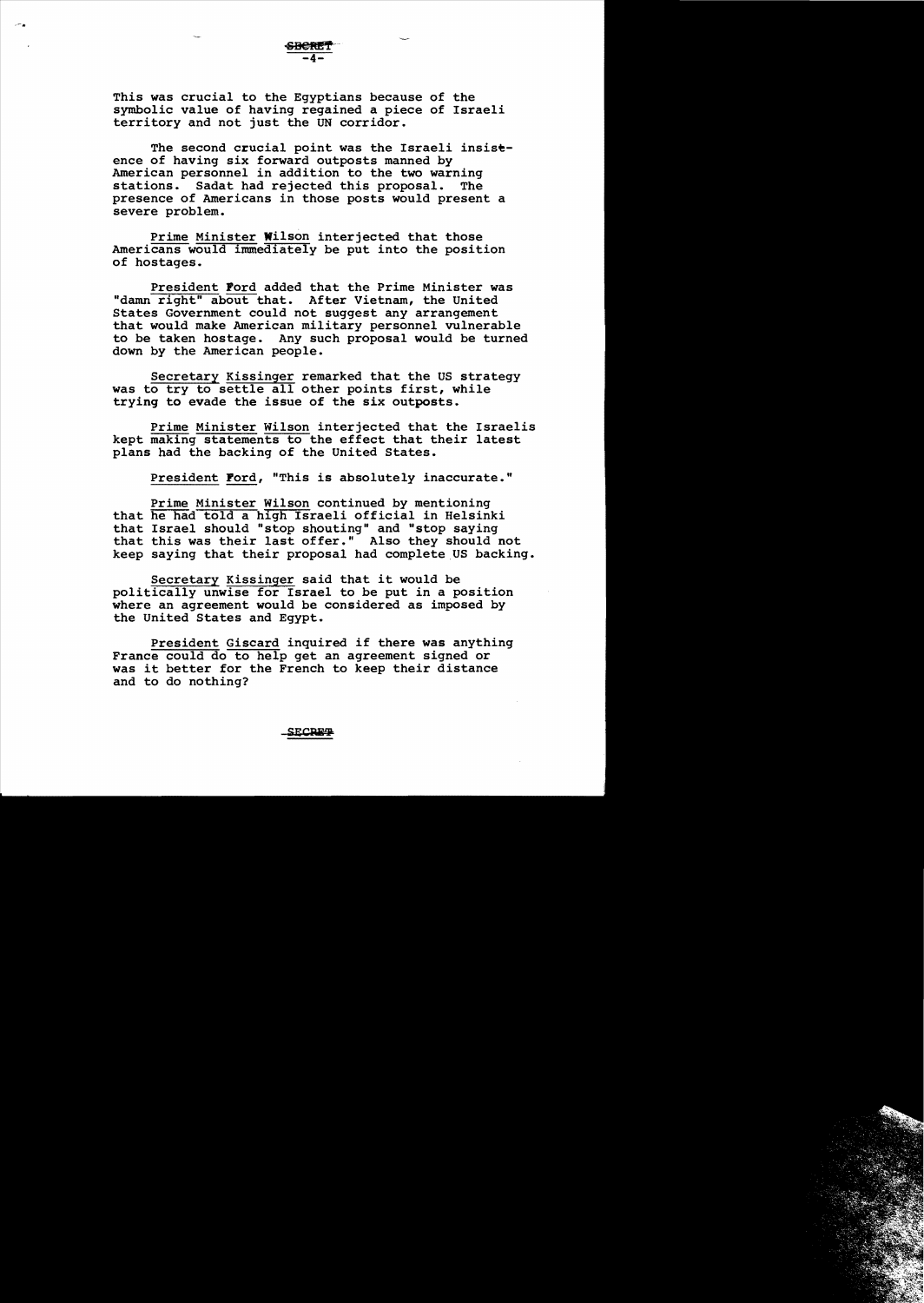This was crucial to the Egyptians because of the symbolic value of having regained a piece of Israeli territory and not just the UN corridor.

The second crucial point was the Israeli insistence of having six forward outposts manned by American personnel in addition to the two warning<br>stations. Sadat had rejected this proposal. The stations. Sadat had rejected this proposal. presence of Americans in those posts would present a severe problem.

Prime Minister Wilson interjected that those Americans would immediately be put into the position of hostages.

President Pord added that the Prime Minister was "damn right" about that. After Vietnam, the United States Government could not suggest any arrangement that would make American military personnel vulnerable to be taken hostage. Any such proposal would be turned down by the American people.

Secretary Kissinger remarked that the US strategy was to try to settle all other points first, while trying to evade the issue of the six outposts.

Prime Minister Wilson interjected that the Israelis kept making statements to the effect that their latest plans had the backing of the United States.

President Ford, "This is absolutely inaccurate."

Prime Minister Wilson continued by mentioning that he had told a high Israeli official in Helsinki that Israel should "stop shouting" and "stop saying that this was their last offer." Also they should not keep saying that their proposal had complete US backing.

Secretary Kissinger said that it would be politically unwise for Israel to be put in a position where an agreement would be considered as imposed by the United States and Egypt.

President Giscard inquired if there was anything France could do to help get an agreement signed or was it better for the French to keep their distance and to do nothing?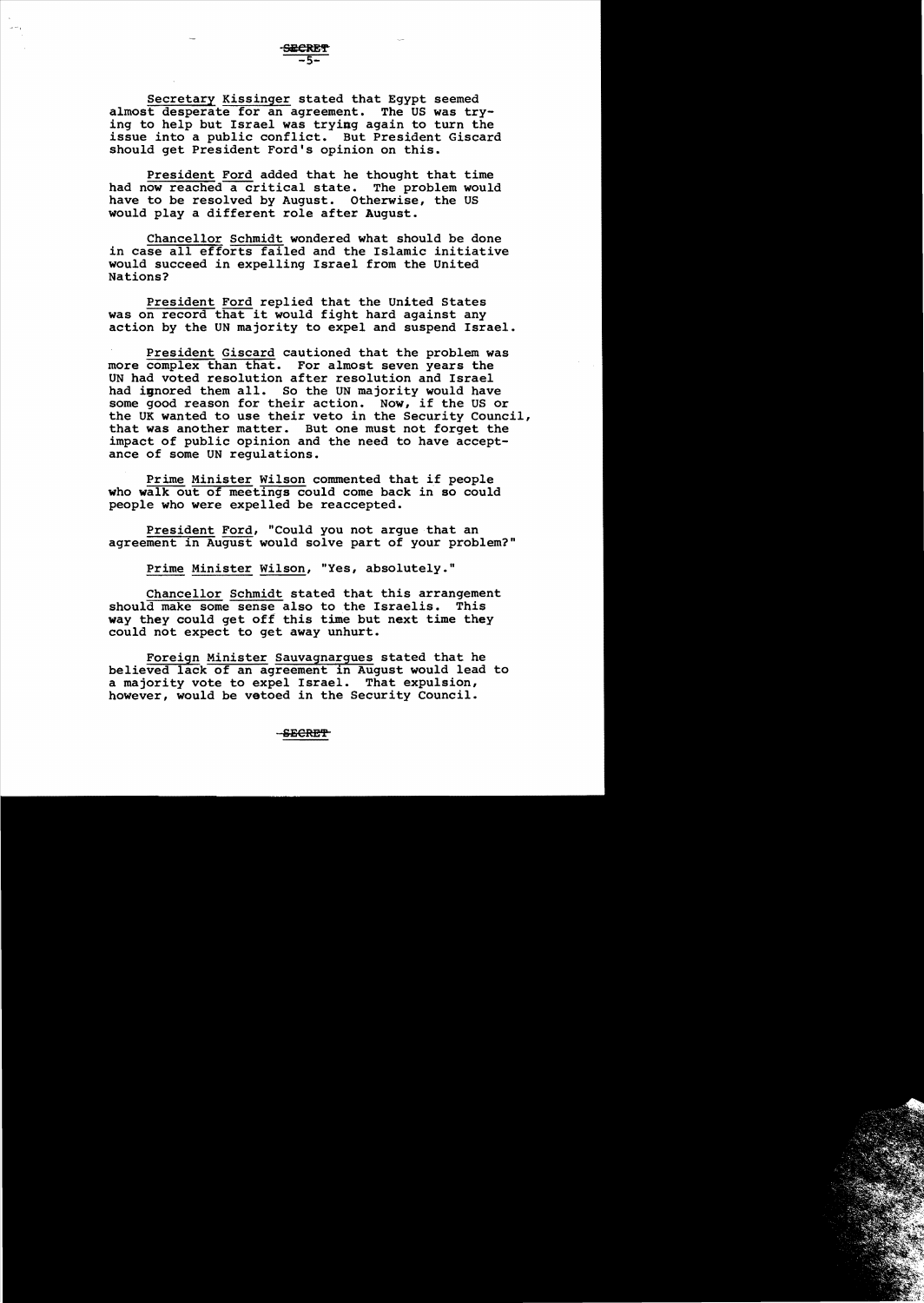secretary Kissinger stated that Egypt seemed almost desperate for an agreement. The US was trying to help but Israel was trying again to turn the issue into a public conflict. But President Giscard should get President Ford's opinion on this.

President Ford added that he thought that time had now reached a critical state. The problem would have to be resolved by August. Otherwise, the US would playa different role after August.

Chancellor Schmidt wondered what should be done in case all efforts failed and the Islamic initiative would succeed in expelling Israel from the United Nations?

President Ford replied that the united States was on record that it would fight hard against any action by the UN majority to expel and suspend Israel.

President Giscard cautioned that the problem was more complex than that. For almost seven years the UN had voted resolution after resolution and Israel had innored them all. So the UN majority would have some good reason for their action. Now, if the US or the UK wanted to use their veto in the Security Council, that was another matter. But one must not forget the impact of public opinion and the need to have acceptance of some UN regulations.

Prime Minister Wilson commented that if people who walk out of meetings could come back in so could people who were expelled be reaccepted.

President Ford, "Could you not argue that an agreement in August would solve part of your problem?"

Prime Minister Wilson, "Yes, absolutely."

Chancellor Schmidt stated that this arrangement should make some sense also to the Israelis. This way they could get off this time but next time they could not expect to get away unhurt.

Foreign Minister Sauvagnargues stated that he believed lack of an agreement in August would lead to a majority vote to expel Israel. That expulsion, however, would be vetoed in the Security Council.